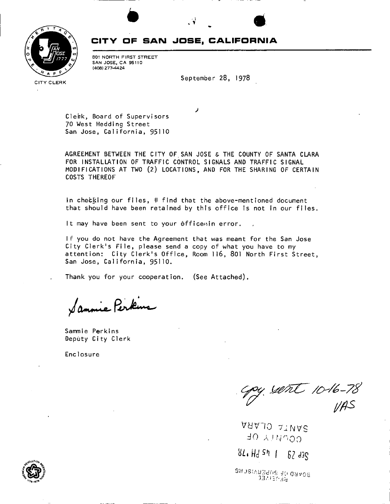

# **CITV OF SAN JOSE, CALIFORNIA**

 $\sqrt{Y}$ 

801 NORTH FIRST STREET SAN JOSE, CA 95110 (408) 277-4424

September 28, 1978

Clefrk, Board of Supervisors 70 West Hedding Street San Jose, California, 95110

AGREEMENT BETWEEN THE CITY OF SAN JOSE & THE COUNTY OF SANTA CLARA FOR INSTALLATION OF TRAFFIC CONTROL SIGNALS AND TRAFFIC SIGNAL MODIFICATIONS AT TWO (2) LOCATIONS, AND FOR THE SHARING OF CERTAIN COSTS THEREOF

*J* 

In checking our files,  $\parallel$  find that the above-mentioned document that should have been retained by this office is not in our files.

It may have been sent to your office in error.

If you do not have the Agreement that was meant for the San Jose City Clerk's File, please send a copy of what you have to my attention: City Clerk's Office, Room 116, 801 North First Street, San Jose, California, 95110.

Thank you for your cooperation. (See Attached).

Sammie Perkins

Sammie Perkins Deputy Ci ty Clerk

**Enclosure** 

Cpy. sent 10-16-78

**WHO 7:nvc**  d O A J *t j<sup>r</sup>"< 0 0* 

 $82.41$  Md st 1 62 dag

BGARD OF SUPERVISCRS

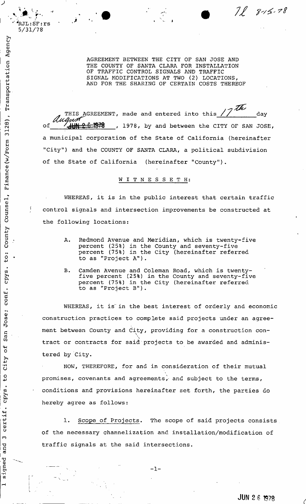Transportation Agency

3128).

Finance (w/Form

Counsel,

County

 $\overline{t}$ o:

cpys

conf.

Jose

San

 $\overline{\mathbf{t}}$ 

City

 $\frac{0}{1}$ 

certif. cpys.

 $\tilde{c}$ 

and

signed

 $\mathbf{r}$ 

wang kalendar

AGREEMENT BETWEEN THE CITY OF SAN JOSE AND THE COUNTY OF SANTA CLARA FOR INSTALLATION OF TRAFFIC CONTROL SIGNALS AND TRAFFIC SIGNAL MODIFICATIONS AT TWO (2) LOCATIONS, AND FOR THE SHARING OF CERTAIN COSTS THEREOF

, where  $\mathcal{L} = \mathcal{L} \times \mathcal{L}$  , where  $\mathcal{L} = \mathcal{L} \times \mathcal{L}$ 

THIS AGREEMENT, made and entered into this  $17$  th day of 400 26 博用 , 1978, by and between the CITY OF SAN JOSE, a municipal corporation of the State of California (hereinafter "City") and the COUNTY OF SANTA CLARA, a political subdivision of the State of California (hereinafter "County").

WITNESSETH :

WHEREAS, it is in the public interest that certain traffic control signals and intersection improvements be constructed at the following locations:

- A. Redmond Avenue and Meridian, which is twenty-five percent (25%) in the County and seventy-five percent (75%) in the City (hereinafter referred to as "Project A").
- B. Camden Avenue and Coleman Road, which is twentyfive percent (25%) in the County and seventy-five percent (75%) in the City (hereinafter referred to as "Project B").

WHEREAS, it is in the best interest of orderly and economic construction practices to complete said projects under an agreement between County and City, providing for a construction contract or contracts for said'projects to be awarded and administered by City.

NOW, THEREFORE, for and in consideration of their mutual promises, covenants and agreements) and subject to the terms, conditions and provisions hereinafter set forth, the parties do hereby agree as follows:

1. Scope of Projects. The scope of said projects consists of the necessary channelization and installation/modification of traffic signals at the said intersections.

**-1-**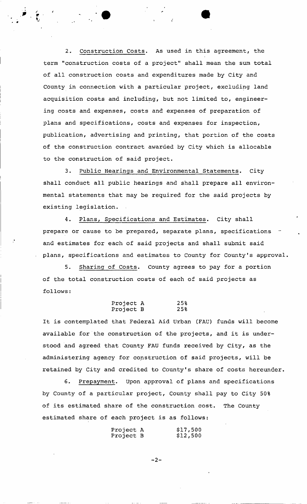2. Construction Costs. As used in this agreement, the term "construction costs of a project" shall mean the sum total of all construction costs and expenditures made by City and County in connection with a particular project, excluding land acquisition costs and including, but not limited to, engineering costs and expenses, costs and expenses of preparation of plans and specifications, costs and expenses for inspection, publication, advertising and printing, that portion of the costs of the construction contract awarded by City which is allocable to the construction of said project.

3. Public Hearings and Environmental Statements. City shall conduct all public hearings and shall prepare all environmental statements that may be required for the said projects by existing legislation.

4. Plans, Specifications and Estimates. City shall prepare or cause to be prepared, separate plans, specifications and estimates for each of said projects and shall submit said plans, specifications and estimates to County for County's approval.

5. Sharing of Costs. County agrees to pay for a portion of the total construction costs of each of said projects as follows:

#### Project A 25%<br>Project B 25% Project B

It is contemplated that Federal Aid Urban (FAU) funds will become available for the construction of the projects, and it is understood and agreed that County FAU funds received by City, as the administering agency for construction of said projects, will be retained by City and credited to County's share of costs hereunder.

6. Prepayment. Upon approval of plans and specifications by County of a particular project, County shall pay to City 50% of its estimated share of the construction cost. The County estimated share of each project is as follows:

| Project A | \$17,500 |
|-----------|----------|
| Project B | \$12,500 |

 $-2-$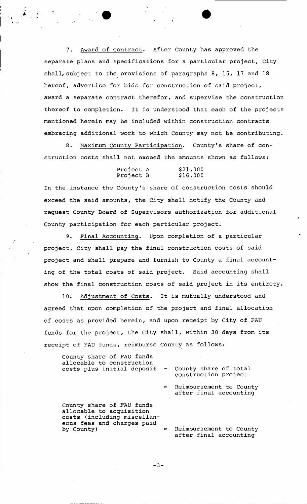7. Award of Contract. After County has approved the separate plans and specifications for a particular project, City shall, subject to the provisions of paragraphs 8, 15, 17 and 18 hereof, advertise for bids for construction of said project, award a separate contract therefor, and supervise the construction thereof to completion. It is understood that each of the projects mentioned herein may be included within construction contracts embracing additional work to which County may not be contributing.

8. Maximum County Participation. County's share of construction costs shall not exceed the amounts shown as follows:

| Project A | \$21,000 |
|-----------|----------|
| Project B | \$16,000 |

In the instance the County's share of construction costs should exceed the said amounts, the City shall notify the County and request County Board of Supervisors authorization for additional County participation for each particular project.

9. Final Accounting. Upon completion of a particular project, City shall pay the final construction costs of said project and shall prepare and furnish to County a final accounting of the total costs of said project. Said accounting shall show the final construction costs of said project in its entirety.

10. Adjustment of Costs. It is mutually understood and agreed that upon completion of the project and final allocation of costs as provided herein, and upon receipt by City of FAU funds for the project, the City shall, within 30 days from its receipt of FAU funds, reimburse County as follows:

| County share of FAU funds<br>allocable to construction<br>costs plus initial deposit                                             |     | - County share of total<br>construction project     |
|----------------------------------------------------------------------------------------------------------------------------------|-----|-----------------------------------------------------|
|                                                                                                                                  |     | = Reimbursement to County<br>after final accounting |
| County share of FAU funds<br>allocable to acquisition<br>costs (including miscellan-<br>eous fees and charges paid<br>by County) | $=$ | Reimbursement to County<br>after final accounting   |

**-3-**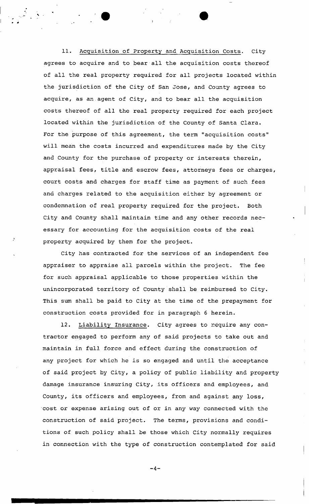11. Acquisition of Property and Acquisition Costs. City agrees to acquire and to bear all the acquisition costs thereof of all the real property required for all projects located within the jurisdiction of the City of San Jose, and County agrees to acquire, as an.agent of City, and to bear all the acquisition costs thereof of all the real property required for each project located within the jurisdiction of the County of Santa Clara. For the purpose of this agreement, the term "acquisition costs" will mean the costs incurred and expenditures made by the City and County for the purchase of property or interests therein, appraisal fees, title and escrow fees, attorneys fees or charges, court costs and charges for staff time as payment of such fees ana charges related to the acquisition either by agreement or condemnation of real property required for the project. Both City and County shall maintain time and any other records necessary for accounting for the acquisition costs of the real property acquired by them for the project.

City has contracted for the services of an independent fee appraiser to appraise all parcels within the project. The fee for such appraisal applicable to those properties within the unincorporated territory of County shall be reimbursed to City. This sum shall be paid to City at the time of the prepayment for construction costs provided for in paragraph 6 herein.

12. Liability Insurance. City agrees to require any contractor engaged to perform any of said projects to take out and maintain in full force and effect during the construction of any project for which he is so engaged and until the acceptance of said project by City, a policy of public liability and property damage insurance insuring City, its officers and employees, and County, its officers and employees, from and against any loss, cost or expense arising out of or in any way connected with the construction of said project. The terms, provisions and conditions of such policy shall be those which City normally requires in connection with the type of construction contemplated for said

**-4-**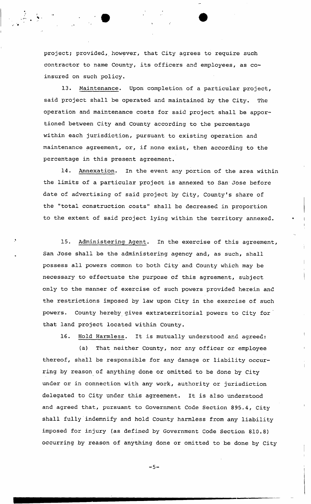project; provided, however, that City agrees to require such contractor to name County, its officers and employees, as coinsured on such policy.

**• •** > I

13. Maintenance. Upon completion of a particular project, said project shall be operated and maintained by the City. The operation and maintenance costs for said project shall be apportioned between City and County according to the percentage within each jurisdiction, pursuant to existing operation and maintenance agreement, or, if none exist, then according to the percentage in this present agreement.

14. Annexation. In the event any portion of the area within the limits of a particular project is annexed to San Jose before date of advertising of said project by City, County's share of the "total construction costs" shall be decreased in proportion to the extent of said project lying within the territory annexed.

15. Administering Agent. In the exercise of this agreement, San Jose shall be the administering agency and, as such, shall possess all powers common to both City and County which may be necessary to effectuate the purpose of this agreement, subject only to the manner of exercise of such powers provided herein and the restrictions imposed by law upon City in the exercise of such powers. County hereby gives extraterritorial powers to City for that land project located within County.

16. Hold Harmless. It is mutually understood and agreed:

(a) That neither County, nor any officer or employee thereof, shall be responsible for any damage or liability occurring by reason of anything done or omitted to be done by City under or in connection with any work, authority or jurisdiction delegated to City under this agreement. It is also understood and agreed that, pursuant to Government Code Section 895.4, City shall fully indemnify and hold County harmless from any liability imposed for injury (as defined by Government Code Section 810.8) occurring by reason of anything done or omitted to be done by City

**-5-**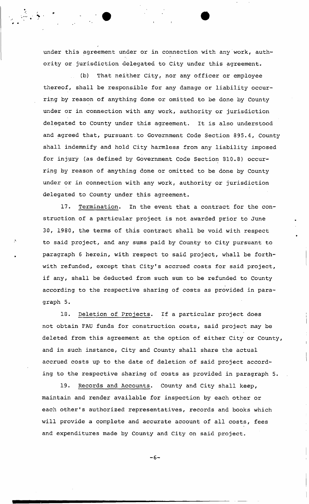under this agreement under or in connection with any work, authority or jurisdiction delegated to City under this agreement.

(b) That neither City, nor any officer or employee thereof, shall be responsible for any damage or liability occurring by reason of anything done or omitted to be done by County under or in connection with any work, authority or jurisdiction delegated to County under this agreement. It is also understood and agreed that, pursuant to Government Code Section 895.4, County shall indemnify and hold City harmless from any liability imposed for injury (as defined by Government Code Section 310.8) occurring by reason of anything done or omitted to be done by County under or in connection with any work, authority or jurisdiction delegated to County under this agreement.

17. Termination. In the event that a contract for the construction. of a particular project is not awarded prior to June 30, 1980, the terms of this contract shall be void with respect to said project, and any sums paid by County to City pursuant to paragraph 6 herein, with respect to said project, whall be forthwith refunded, except that City's accrued costs for said project, if any, shall be deducted from such sum to be refunded to County according to the respective sharing of costs as provided in paragraph 5.

18. Deletion of Projects. If a particular project does not obtain FAU funds for construction costs, said project may be deleted from this agreement at the option of either City or County, and in such instance, City and County shall share the actual accrued costs up to the date of deletion of said project according to the respective sharing of costs as provided in paragraph 5.

19. Records and Accounts. County and City shall keep, maintain and render available for inspection by each other or each other's authorized representatives, records and books which will provide a complete and accurate account of all costs, fees and expenditures made by County and City on said project.

**-6-**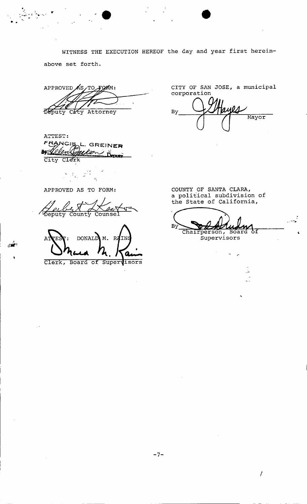WITNESS THE EXECUTION HEREOF the day and year first hereinabove set forth.

APPROVED AS TO FORM: Deputy City Attorney

ATTEST: FRANCIS L. GREINER  $\frac{1}{\sqrt{2}}$ City Clerk

وی کی دیگر دیگر<br>مو

 $\sum_{i=1}^n \frac{1}{\sigma_{i}} \sum_{j=1}^M \frac{1}{\sigma_{i,j}} \sum_{j=1}^M \frac{1}{\sigma_{i,j}}$  $\bar{z}_k$ 

APPROVED AS TO FORM:

County Counsel Deputy DONALD M. RA

Clerk, Board of Supervisors

CITY OF SAN JOSE, a municipal corporation

tayes By Mayor

COUNTY OF SANTA CLARA, a political subdivision of the State of California,

 $\mathbf{R}^{\prime}$ Chairperson, Board δf Supervisors

 $\overline{a}$ 

I

 $-7-$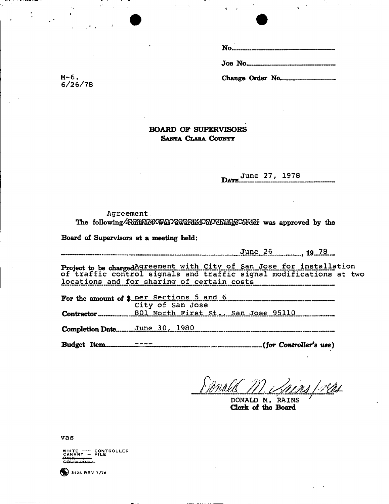| Job No <del></del>                                    |
|-------------------------------------------------------|
| $\mathbf{m}$ $\mathbf{a}$ $\mathbf{u}$ $\mathbf{v}$ . |

M-6. Change Order No. 6/26/78

# **BOARD OF SUPERVISORS SANTA CLARA COUNTY**

June 27, 1978 D<sub>A</sub>TI

## Agreement The following/contractXwas Yawarded or Ychange order was approved by the

**Board of Supervisors at a meeting held:** 

June, 26 **19 78** 

**Project to be charged Aqreement with City of San Jose for installation** of traffic control signals and traffic signal modifications at two locations and for sharing of certain costs

For the amount of \$ per Sections 5 and 6 City of San Jose **Contractor** 801 North First St. , San. Jose 95110

**Completion Date June 30, 1980** 

**Budget Item " " (***for Controller's use)* 

1 / Plet

DONALD M. RAINS **Clerk of the Board** 

vas

WHITE ----- CONTROLLER<br>CANARY -- FILE<br><del>RWIK -----</del>---

 $3128$  REV 7/76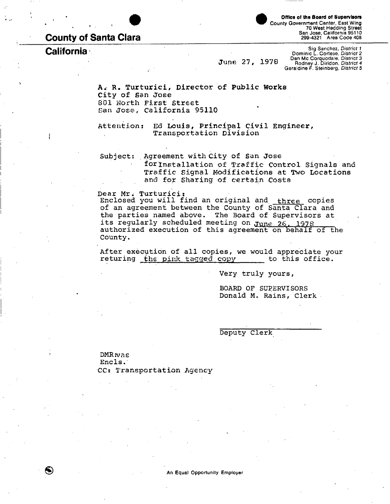# **County of Santa Clara**

**California** 

**0fflc9 of the Board of Supervisors**  County Government Center, East Wing 70 West Hedding Street San Jose, California 95110 299-4321 Area Code 408

June 27, 1970 Sig Sanchez, *District 1*  Dominic L. Cortese, *District 2*  Dan Mc Corquodale, *District 3*  Rodney J. Diridon, *District 4*  Geraldine F. Steinberg, *District 5* 

A. R. Turturici, Director of Public Works City of San Jose 801 North First Street San Jose, California 95110

Attention: Ed Louis, Principal Civil Engineer, Transportation Division

Subject: Agreement with City of San Jose for installation of Traffic Control signals and Traffic Signal Modifications at Two Locations and for Sharing of certain Costs

#### Dear Mr; Turturici:

Enclosed you will find an original and three copies of an agreement between the County of Santa Clara and the parties named above. The Board of Supervisors at its regularly scheduled meeting on June 26, 1978 authorized execution of this agreement on behalf of the County.

After execution of all copies, we would appreciate your returing the pink tagged copy to this office.

Very truly yours,

BOARD OF SUPERVISORS Donald M. Rains, Clerk

Deputy Clerk

 $DMR$ <sub>vas</sub>

Encls. CC: Transportation Agency

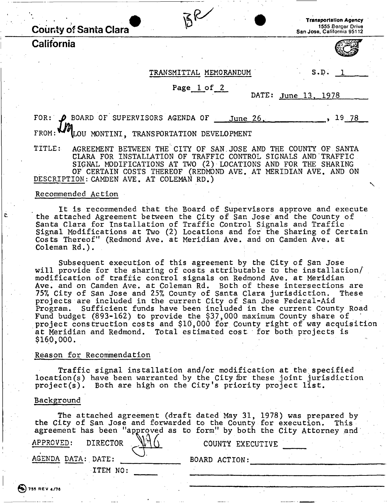**County of Santa Clara 198** 

**California** 

**Transportation Agency 155 5** Berger Drive **San Jose,** California 95112



 $\boldsymbol{\mathcal{N}}$ 

#### TRANSMITTAL MEMORANDUM \* S.D.

# Page 1 of 2

#### DATE; June 13. 1978

FOR:  $\bigcirc$  BOARD OF SUPERVISORS AGENDA OF June 26, , 19 78 FROM:  $W^{\prime\prime}$ LOU MONTINI, TRANSPORTATION DEVELOPMENT

TITLE: AGREEMENT BETWEEN THE CITY OF SAN. JOSE AND THE COUNTY OF SANTA CLARA FOR INSTALLATION OF TRAFFIC CONTROL SIGNALS AND"TRAFFIC SIGNAL MODIFICATIONS AT TWO (2) LOCATIONS AND FOR THE SHARING OF CERTAIN COSTS THEREOF (REDMOND AVE. AT MERIDIAN AVE. AND ON DESCRIPTION: CAMDEN AVE. AT COLEMAN RD.)

# Recommended Action

It is recommended that the Board of Supervisors approve and execute the attached Agreement between the City of San Jose and the County of Santa Clara for Installation of Traffic Control Signals and Traffic Signal Modifications at Two (2) Locations and for the Sharing of Certain Costs Thereof" (Redmond Ave. at Meridian Ave. and on Camden Ave. at Coleman Rd.).

Subsequent execution of this agreement by the City of San Jose will provide for the sharing of costs attributable to the installation/ modification of traffic control signals on Redmond Ave. at Meridian Ave. and on Camden Ave. at Coleman Rd. Both of these intersections are 75% City of San Jose and 25% County of Santa Clara jurisdiction. These projects are included in the current City of San Jose Federal-Aid Program. Sufficient funds have been included in the current County Road Fund budget (893-162) to provide the \$37,000 maximum County share of ' project construction costs and \$10,000 for County right of way acquisition at Meridian and Redmond. Total estimated cost for both projects is \$160,000.

#### Reason for Recommendation

Traffic signal installation and/or modification at the specified location(s) have been warranted by the City fbr these joint jurisdiction project(s). Both are high on the City's priority project list.

#### Background

The attached agreement (draft dated May 31, 1978) was prepared by the City of San Jose and forwarded to the County for execution. This agreement has been "approved as to form" by both the City Attorney and APPROVED: DIRECTOR  $\mathcal{N}(\mathcal{N})$  county executive AGENDA DATA: DATE:  $\overline{B}$ BOARD ACTION: ITEM NO:

@ 753 REV 4/7 8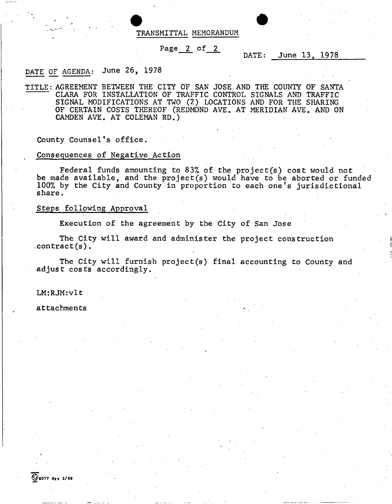TRANSMITTAL MEMORANDUM

### Page 2 of 2

## DATE: June 13, 1978

# DATE OF AGENDA: June 26, 1978

TITLE: AGREEMENT BETWEEN THE CITY OF SAN JOSE. AND THE COUNTY OF SANTA CLARA FOR INSTALLATION OF TRAFFIC CONTROL SIGNALS AND TRAFFIC SIGNAL MODIFICATIONS AT TWO (2) LOCATIONS AND FOR THE SHARING OF CERTAIN COSTS THEREOF (REDMOND AVE. AT MERIDIAN AVE. AND ON CAMDEN AVE. AT COLEMAN RD.)

County Counsel's office.

## Consequences of Negative Action

Federal funds amounting to 83% of the project(s) cost would not be made available, and the project(s) would have to be aborted or funded 100% by the City and County in proportion to each one's jurisdictional share.

### Steps following Approval

Execution of the agreement by the City of San Jose

The City will award and administer the project construction .contract(s).

The City will furnish project(s) final accounting to County and adjust costs accordingly.

#### LM:RJM:vlt

attachments